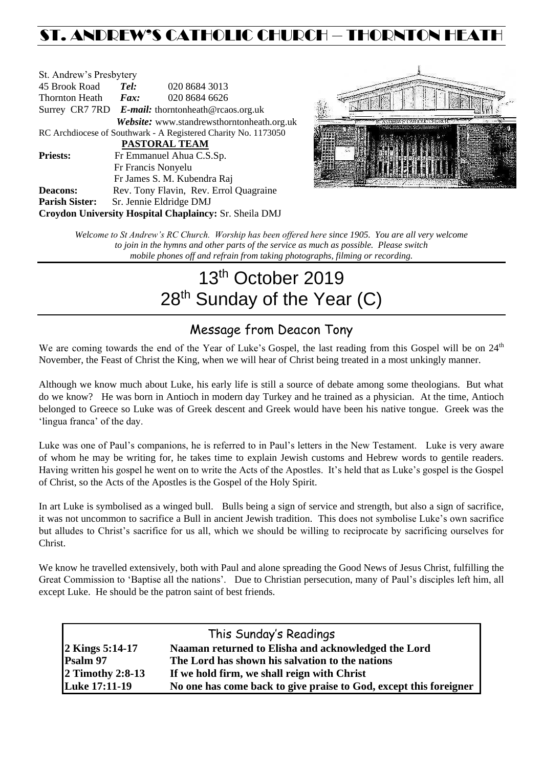## ST. ANDREW'S CATHOLIC CHURCH – THORNTON HEATH

| St. Andrew's Presbytery                                        |                                                   |                                            |  |  |  |
|----------------------------------------------------------------|---------------------------------------------------|--------------------------------------------|--|--|--|
| 45 Brook Road                                                  | Tel:                                              | 020 8684 3013                              |  |  |  |
| Thornton Heath                                                 | Fax:                                              | 020 8684 6626                              |  |  |  |
|                                                                | Surrey CR7 7RD E-mail: thorntonheath@rcaos.org.uk |                                            |  |  |  |
|                                                                |                                                   | Website: www.standrewsthorntonheath.org.uk |  |  |  |
| RC Archdiocese of Southwark - A Registered Charity No. 1173050 |                                                   |                                            |  |  |  |
| <b>PASTORAL TEAM</b>                                           |                                                   |                                            |  |  |  |
| <b>Priests:</b>                                                |                                                   | Fr Emmanuel Ahua C.S.Sp.                   |  |  |  |
| Fr Francis Nonyelu                                             |                                                   |                                            |  |  |  |
|                                                                |                                                   | Fr James S. M. Kubendra Raj                |  |  |  |
| <b>Deacons:</b>                                                |                                                   | Rev. Tony Flavin, Rev. Errol Quagraine     |  |  |  |
| <b>Parish Sister:</b>                                          |                                                   | Sr. Jennie Eldridge DMJ                    |  |  |  |
| Croydon University Hospital Chaplaincy: Sr. Sheila DMJ         |                                                   |                                            |  |  |  |



*Welcome to St Andrew's RC Church. Worship has been offered here since 1905. You are all very welcome to join in the hymns and other parts of the service as much as possible. Please switch mobile phones off and refrain from taking photographs, filming or recording.*

# 13<sup>th</sup> October 2019 28<sup>th</sup> Sunday of the Year (C)

## Message from Deacon Tony

We are coming towards the end of the Year of Luke's Gospel, the last reading from this Gospel will be on 24<sup>th</sup> November, the Feast of Christ the King, when we will hear of Christ being treated in a most unkingly manner.

Although we know much about Luke, his early life is still a source of debate among some theologians. But what do we know? He was born in Antioch in modern day Turkey and he trained as a physician. At the time, Antioch belonged to Greece so Luke was of Greek descent and Greek would have been his native tongue. Greek was the 'lingua franca' of the day.

Luke was one of Paul's companions, he is referred to in Paul's letters in the New Testament. Luke is very aware of whom he may be writing for, he takes time to explain Jewish customs and Hebrew words to gentile readers. Having written his gospel he went on to write the Acts of the Apostles. It's held that as Luke's gospel is the Gospel of Christ, so the Acts of the Apostles is the Gospel of the Holy Spirit.

In art Luke is symbolised as a winged bull. Bulls being a sign of service and strength, but also a sign of sacrifice, it was not uncommon to sacrifice a Bull in ancient Jewish tradition. This does not symbolise Luke's own sacrifice but alludes to Christ's sacrifice for us all, which we should be willing to reciprocate by sacrificing ourselves for Christ.

We know he travelled extensively, both with Paul and alone spreading the Good News of Jesus Christ, fulfilling the Great Commission to 'Baptise all the nations'. Due to Christian persecution, many of Paul's disciples left him, all except Luke. He should be the patron saint of best friends.

| This Sunday's Readings |                                                                   |  |  |  |
|------------------------|-------------------------------------------------------------------|--|--|--|
| 2 Kings 5:14-17        | Naaman returned to Elisha and acknowledged the Lord               |  |  |  |
| Psalm 97               | The Lord has shown his salvation to the nations                   |  |  |  |
| 2 Timothy 2:8-13       | If we hold firm, we shall reign with Christ                       |  |  |  |
| <b>Luke 17:11-19</b>   | No one has come back to give praise to God, except this foreigner |  |  |  |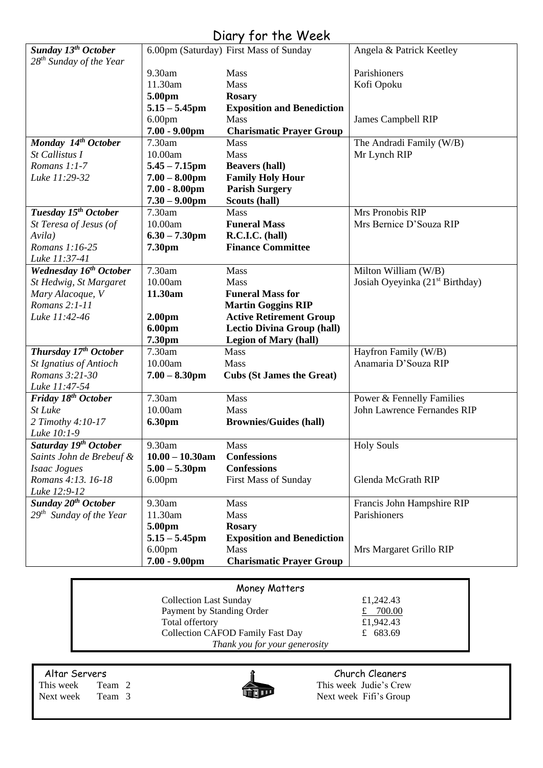| Diary for the Week                                |                                      |                                        |                                             |  |  |
|---------------------------------------------------|--------------------------------------|----------------------------------------|---------------------------------------------|--|--|
| Sunday 13 <sup>th</sup> October                   |                                      | 6.00pm (Saturday) First Mass of Sunday | Angela & Patrick Keetley                    |  |  |
| 28 <sup>th</sup> Sunday of the Year               |                                      |                                        |                                             |  |  |
|                                                   | 9.30am                               | Mass                                   | Parishioners                                |  |  |
|                                                   | 11.30am                              | Mass                                   | Kofi Opoku                                  |  |  |
|                                                   | 5.00pm                               | <b>Rosary</b>                          |                                             |  |  |
|                                                   | $5.15 - 5.45$ pm                     | <b>Exposition and Benediction</b>      |                                             |  |  |
|                                                   | 6.00 <sub>pm</sub>                   | <b>Mass</b>                            | James Campbell RIP                          |  |  |
|                                                   | $7.00 - 9.00$ pm                     | <b>Charismatic Prayer Group</b>        |                                             |  |  |
| Monday 14th October                               | 7.30am                               | <b>Mass</b>                            | The Andradi Family (W/B)                    |  |  |
| St Callistus I                                    | 10.00am                              | Mass                                   | Mr Lynch RIP                                |  |  |
| Romans 1:1-7                                      | $5.45 - 7.15$ pm                     | <b>Beavers (hall)</b>                  |                                             |  |  |
| Luke 11:29-32                                     | $7.00 - 8.00$ pm                     | <b>Family Holy Hour</b>                |                                             |  |  |
|                                                   | $7.00 - 8.00$ pm<br>$7.30 - 9.00$ pm | <b>Parish Surgery</b><br>Scouts (hall) |                                             |  |  |
| Tuesday 15 <sup>th</sup> October                  | 7.30am                               | <b>Mass</b>                            | Mrs Pronobis RIP                            |  |  |
| St Teresa of Jesus (of                            | 10.00am                              | <b>Funeral Mass</b>                    | Mrs Bernice D'Souza RIP                     |  |  |
| Avila)                                            | $6.30 - 7.30$ pm                     | R.C.I.C. (hall)                        |                                             |  |  |
| Romans 1:16-25                                    | 7.30pm                               | <b>Finance Committee</b>               |                                             |  |  |
| Luke 11:37-41                                     |                                      |                                        |                                             |  |  |
| <b>Wednesday 16th October</b>                     | 7.30am                               | <b>Mass</b>                            | Milton William (W/B)                        |  |  |
| St Hedwig, St Margaret                            | 10.00am                              | <b>Mass</b>                            | Josiah Oyeyinka (21 <sup>st</sup> Birthday) |  |  |
| Mary Alacoque, V                                  | 11.30am                              | <b>Funeral Mass for</b>                |                                             |  |  |
| Romans 2:1-11                                     |                                      | <b>Martin Goggins RIP</b>              |                                             |  |  |
| Luke 11:42-46                                     | 2.00 <sub>pm</sub>                   | <b>Active Retirement Group</b>         |                                             |  |  |
|                                                   | 6.00pm                               | <b>Lectio Divina Group (hall)</b>      |                                             |  |  |
|                                                   | 7.30pm                               | <b>Legion of Mary (hall)</b>           |                                             |  |  |
| Thursday 17th October                             | 7.30am                               | <b>Mass</b>                            | Hayfron Family (W/B)                        |  |  |
| <b>St Ignatius of Antioch</b>                     | 10.00am                              | Mass                                   | Anamaria D'Souza RIP                        |  |  |
| Romans 3:21-30                                    | $7.00 - 8.30$ pm                     | <b>Cubs (St James the Great)</b>       |                                             |  |  |
| Luke 11:47-54                                     |                                      |                                        |                                             |  |  |
| Friday 18 <sup>th</sup> October                   | 7.30am                               | Mass                                   | Power & Fennelly Families                   |  |  |
| St Luke                                           | 10.00am                              | Mass                                   | John Lawrence Fernandes RIP                 |  |  |
| 2 Timothy 4:10-17                                 | 6.30pm                               | <b>Brownies/Guides (hall)</b>          |                                             |  |  |
| Luke 10:1-9                                       |                                      |                                        |                                             |  |  |
| Saturday 19th October<br>Saints John de Brebeuf & | 9.30am<br>$10.00 - 10.30$ am         | Mass<br><b>Confessions</b>             | <b>Holy Souls</b>                           |  |  |
| Isaac Jogues                                      | $5.00 - 5.30$ pm                     | <b>Confessions</b>                     |                                             |  |  |
| Romans 4:13. 16-18                                | 6.00 <sub>pm</sub>                   | <b>First Mass of Sunday</b>            | Glenda McGrath RIP                          |  |  |
| Luke 12:9-12                                      |                                      |                                        |                                             |  |  |
| Sunday 20 <sup>th</sup> October                   | 9.30am                               | Mass                                   | Francis John Hampshire RIP                  |  |  |
| $29th$ Sunday of the Year                         | 11.30am                              | Mass                                   | Parishioners                                |  |  |
|                                                   | 5.00pm                               | <b>Rosary</b>                          |                                             |  |  |
|                                                   | $5.15 - 5.45$ pm                     | <b>Exposition and Benediction</b>      |                                             |  |  |
|                                                   | 6.00 <sub>pm</sub>                   | Mass                                   | Mrs Margaret Grillo RIP                     |  |  |
|                                                   | $7.00 - 9.00$ pm                     | <b>Charismatic Prayer Group</b>        |                                             |  |  |
|                                                   |                                      |                                        |                                             |  |  |

| Money Matters                           |           |  |  |  |
|-----------------------------------------|-----------|--|--|--|
| <b>Collection Last Sunday</b>           | £1,242.43 |  |  |  |
| Payment by Standing Order               | $-700.00$ |  |  |  |
| Total offertory                         | £1,942.43 |  |  |  |
| <b>Collection CAFOD Family Fast Day</b> | £ 683.69  |  |  |  |
| Thank you for your generosity           |           |  |  |  |

This week Team 2 This week Judie's Crew<br>Next week Team 3 Next week Fifi's Group Next week Team 3 Next week Fifi's Group



Altar Servers<br>
This week Team 2 This week Judie's Crev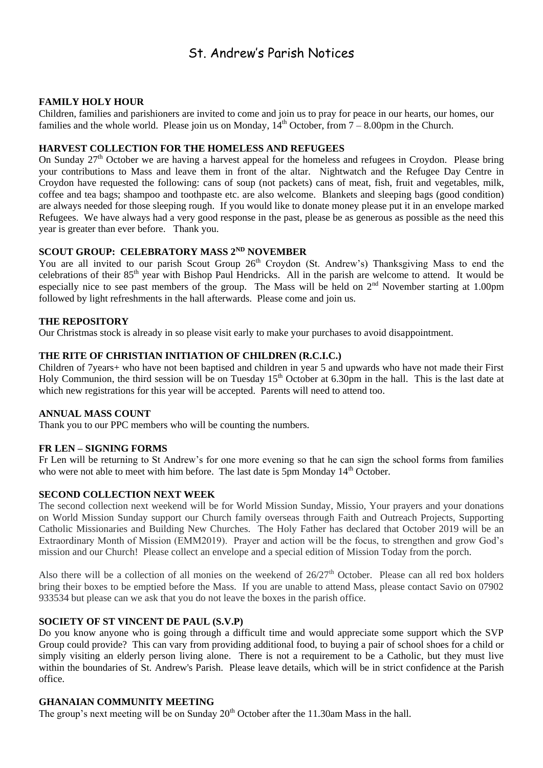## St. Andrew's Parish Notices

#### **FAMILY HOLY HOUR**

Children, families and parishioners are invited to come and join us to pray for peace in our hearts, our homes, our families and the whole world. Please join us on Monday,  $14<sup>th</sup>$  October, from  $7 - 8.00$ pm in the Church.

#### **HARVEST COLLECTION FOR THE HOMELESS AND REFUGEES**

On Sunday 27<sup>th</sup> October we are having a harvest appeal for the homeless and refugees in Croydon. Please bring your contributions to Mass and leave them in front of the altar. Nightwatch and the Refugee Day Centre in Croydon have requested the following: cans of soup (not packets) cans of meat, fish, fruit and vegetables, milk, coffee and tea bags; shampoo and toothpaste etc. are also welcome. Blankets and sleeping bags (good condition) are always needed for those sleeping rough. If you would like to donate money please put it in an envelope marked Refugees. We have always had a very good response in the past, please be as generous as possible as the need this year is greater than ever before. Thank you.

#### **SCOUT GROUP: CELEBRATORY MASS 2ND NOVEMBER**

You are all invited to our parish Scout Group 26<sup>th</sup> Croydon (St. Andrew's) Thanksgiving Mass to end the celebrations of their 85<sup>th</sup> year with Bishop Paul Hendricks. All in the parish are welcome to attend. It would be especially nice to see past members of the group. The Mass will be held on 2<sup>nd</sup> November starting at 1.00pm followed by light refreshments in the hall afterwards. Please come and join us.

#### **THE REPOSITORY**

Our Christmas stock is already in so please visit early to make your purchases to avoid disappointment.

#### **THE RITE OF CHRISTIAN INITIATION OF CHILDREN (R.C.I.C.)**

Children of 7years+ who have not been baptised and children in year 5 and upwards who have not made their First Holy Communion, the third session will be on Tuesday  $15<sup>th</sup>$  October at 6.30pm in the hall. This is the last date at which new registrations for this year will be accepted. Parents will need to attend too.

#### **ANNUAL MASS COUNT**

Thank you to our PPC members who will be counting the numbers.

#### **FR LEN – SIGNING FORMS**

Fr Len will be returning to St Andrew's for one more evening so that he can sign the school forms from families who were not able to meet with him before. The last date is 5pm Monday 14<sup>th</sup> October.

#### **SECOND COLLECTION NEXT WEEK**

The second collection next weekend will be for World Mission Sunday, Missio, Your prayers and your donations on World Mission Sunday support our Church family overseas through Faith and Outreach Projects, Supporting Catholic Missionaries and Building New Churches. The Holy Father has declared that October 2019 will be an Extraordinary Month of Mission (EMM2019). Prayer and action will be the focus, to strengthen and grow God's mission and our Church! Please collect an envelope and a special edition of Mission Today from the porch.

Also there will be a collection of all monies on the weekend of  $26/27<sup>th</sup>$  October. Please can all red box holders bring their boxes to be emptied before the Mass. If you are unable to attend Mass, please contact Savio on 07902 933534 but please can we ask that you do not leave the boxes in the parish office.

#### **SOCIETY OF ST VINCENT DE PAUL (S.V.P)**

Do you know anyone who is going through a difficult time and would appreciate some support which the SVP Group could provide? This can vary from providing additional food, to buying a pair of school shoes for a child or simply visiting an elderly person living alone. There is not a requirement to be a Catholic, but they must live within the boundaries of St. Andrew's Parish. Please leave details, which will be in strict confidence at the Parish office.

#### **GHANAIAN COMMUNITY MEETING**

The group's next meeting will be on Sunday  $20<sup>th</sup>$  October after the 11.30am Mass in the hall.